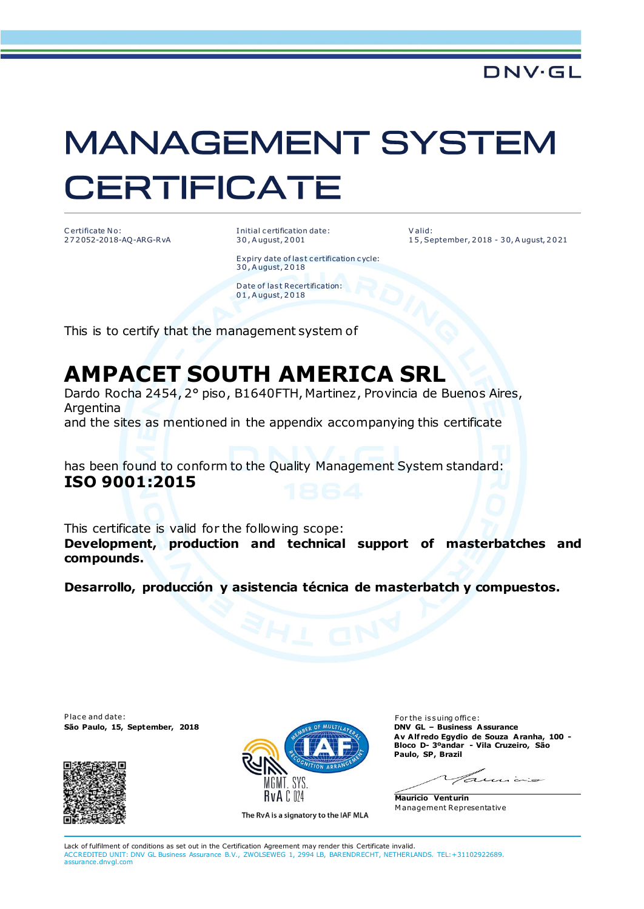## **MANAGEMENT SYSTEM CERTIFICATE**

C ertificate No: 2 7 2 052-2018-AQ-ARG-RvA I nitial c ertification date: 3 0 , A ugust, 2 0 01

V alid: 1 5 , September, 2 018 - 3 0, A ugust, 2 0 21

Expiry date of last certification cycle: 3 0 , A ugust, 2 0 18

Date of last Recertification: 0 1 , A ugust, 2 0 18

This is to certify that the management system of

## **AMPACET SOUTH AMERICA SRL**

Dardo Rocha 2454, 2° piso, B1640FTH, Martinez, Provincia de Buenos Aires, Argentina

and the sites as mentioned in the appendix accompanying this certificate

has been found to conform to the Quality Management System standard: **ISO 9001:2015**

This certificate is valid for the following scope: **Development, production and technical support of masterbatches and compounds.**

**Desarrollo, producción y asistencia técnica de masterbatch y compuestos.**

Place and date: For the issuing office:<br>**São Paulo, 15, September, 2018** Maria Company of Multila<sub>te</sub> **For the issuing office:** For the issuing office: **São Paulo, 15, September, 2018** 





The RvA is a signatory to the IAF MLA

**Av A lf redo Egydio de Souza Aranha, 100 - Bloco D- 3ºandar - Vila Cruzeiro, São Paulo, SP, Brazil**

**Mauricio Venturin** M anagement Representative

Lack of fulfilment of conditions as set out in the Certification Agreement may render this Certificate invalid. ACCREDITED UNIT: DNV GL Business Assurance B.V., ZWOLSEWEG 1, 2994 LB, BARENDRECHT, NETHERLANDS. TEL:+31102922689. assurance.dnvgl.com